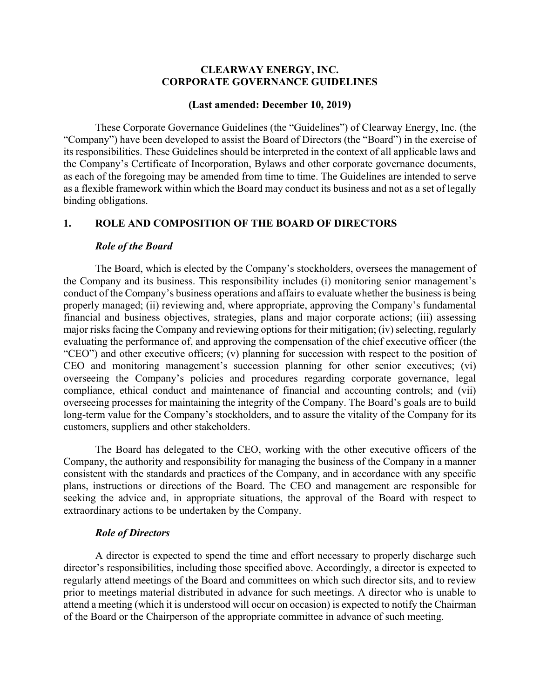## **CLEARWAY ENERGY, INC. CORPORATE GOVERNANCE GUIDELINES**

#### **(Last amended: December 10, 2019)**

These Corporate Governance Guidelines (the "Guidelines") of Clearway Energy, Inc. (the "Company") have been developed to assist the Board of Directors (the "Board") in the exercise of its responsibilities. These Guidelines should be interpreted in the context of all applicable laws and the Company's Certificate of Incorporation, Bylaws and other corporate governance documents, as each of the foregoing may be amended from time to time. The Guidelines are intended to serve as a flexible framework within which the Board may conduct its business and not as a set of legally binding obligations.

## **1. ROLE AND COMPOSITION OF THE BOARD OF DIRECTORS**

#### *Role of the Board*

The Board, which is elected by the Company's stockholders, oversees the management of the Company and its business. This responsibility includes (i) monitoring senior management's conduct of the Company's business operations and affairs to evaluate whether the business is being properly managed; (ii) reviewing and, where appropriate, approving the Company's fundamental financial and business objectives, strategies, plans and major corporate actions; (iii) assessing major risks facing the Company and reviewing options for their mitigation; (iv) selecting, regularly evaluating the performance of, and approving the compensation of the chief executive officer (the "CEO") and other executive officers; (v) planning for succession with respect to the position of CEO and monitoring management's succession planning for other senior executives; (vi) overseeing the Company's policies and procedures regarding corporate governance, legal compliance, ethical conduct and maintenance of financial and accounting controls; and (vii) overseeing processes for maintaining the integrity of the Company. The Board's goals are to build long-term value for the Company's stockholders, and to assure the vitality of the Company for its customers, suppliers and other stakeholders.

The Board has delegated to the CEO, working with the other executive officers of the Company, the authority and responsibility for managing the business of the Company in a manner consistent with the standards and practices of the Company, and in accordance with any specific plans, instructions or directions of the Board. The CEO and management are responsible for seeking the advice and, in appropriate situations, the approval of the Board with respect to extraordinary actions to be undertaken by the Company.

### *Role of Directors*

A director is expected to spend the time and effort necessary to properly discharge such director's responsibilities, including those specified above. Accordingly, a director is expected to regularly attend meetings of the Board and committees on which such director sits, and to review prior to meetings material distributed in advance for such meetings. A director who is unable to attend a meeting (which it is understood will occur on occasion) is expected to notify the Chairman of the Board or the Chairperson of the appropriate committee in advance of such meeting.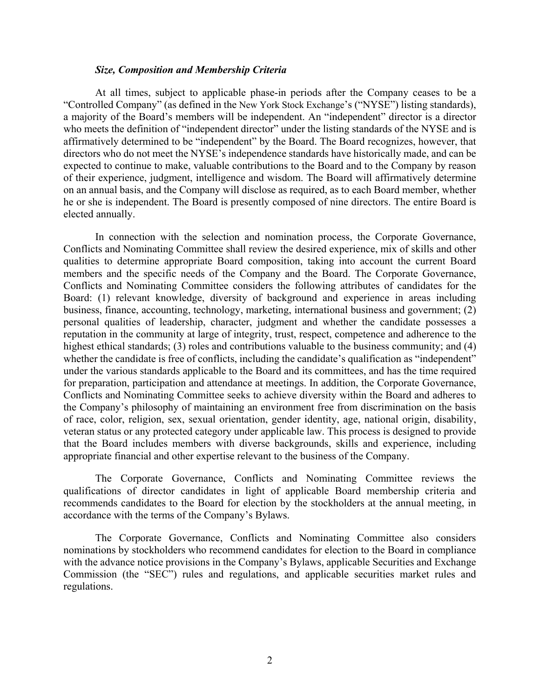### *Size, Composition and Membership Criteria*

At all times, subject to applicable phase-in periods after the Company ceases to be a "Controlled Company" (as defined in the New York Stock Exchange's ("NYSE") listing standards), a majority of the Board's members will be independent. An "independent" director is a director who meets the definition of "independent director" under the listing standards of the NYSE and is affirmatively determined to be "independent" by the Board. The Board recognizes, however, that directors who do not meet the NYSE's independence standards have historically made, and can be expected to continue to make, valuable contributions to the Board and to the Company by reason of their experience, judgment, intelligence and wisdom. The Board will affirmatively determine on an annual basis, and the Company will disclose as required, as to each Board member, whether he or she is independent. The Board is presently composed of nine directors. The entire Board is elected annually.

In connection with the selection and nomination process, the Corporate Governance, Conflicts and Nominating Committee shall review the desired experience, mix of skills and other qualities to determine appropriate Board composition, taking into account the current Board members and the specific needs of the Company and the Board. The Corporate Governance, Conflicts and Nominating Committee considers the following attributes of candidates for the Board: (1) relevant knowledge, diversity of background and experience in areas including business, finance, accounting, technology, marketing, international business and government; (2) personal qualities of leadership, character, judgment and whether the candidate possesses a reputation in the community at large of integrity, trust, respect, competence and adherence to the highest ethical standards; (3) roles and contributions valuable to the business community; and (4) whether the candidate is free of conflicts, including the candidate's qualification as "independent" under the various standards applicable to the Board and its committees, and has the time required for preparation, participation and attendance at meetings. In addition, the Corporate Governance, Conflicts and Nominating Committee seeks to achieve diversity within the Board and adheres to the Company's philosophy of maintaining an environment free from discrimination on the basis of race, color, religion, sex, sexual orientation, gender identity, age, national origin, disability, veteran status or any protected category under applicable law. This process is designed to provide that the Board includes members with diverse backgrounds, skills and experience, including appropriate financial and other expertise relevant to the business of the Company.

The Corporate Governance, Conflicts and Nominating Committee reviews the qualifications of director candidates in light of applicable Board membership criteria and recommends candidates to the Board for election by the stockholders at the annual meeting, in accordance with the terms of the Company's Bylaws.

The Corporate Governance, Conflicts and Nominating Committee also considers nominations by stockholders who recommend candidates for election to the Board in compliance with the advance notice provisions in the Company's Bylaws, applicable Securities and Exchange Commission (the "SEC") rules and regulations, and applicable securities market rules and regulations.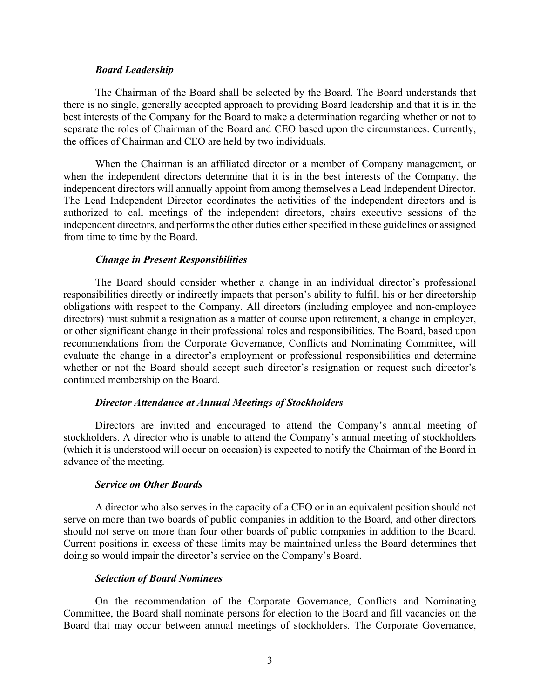#### *Board Leadership*

The Chairman of the Board shall be selected by the Board. The Board understands that there is no single, generally accepted approach to providing Board leadership and that it is in the best interests of the Company for the Board to make a determination regarding whether or not to separate the roles of Chairman of the Board and CEO based upon the circumstances. Currently, the offices of Chairman and CEO are held by two individuals.

When the Chairman is an affiliated director or a member of Company management, or when the independent directors determine that it is in the best interests of the Company, the independent directors will annually appoint from among themselves a Lead Independent Director. The Lead Independent Director coordinates the activities of the independent directors and is authorized to call meetings of the independent directors, chairs executive sessions of the independent directors, and performs the other duties either specified in these guidelines or assigned from time to time by the Board.

#### *Change in Present Responsibilities*

The Board should consider whether a change in an individual director's professional responsibilities directly or indirectly impacts that person's ability to fulfill his or her directorship obligations with respect to the Company. All directors (including employee and non-employee directors) must submit a resignation as a matter of course upon retirement, a change in employer, or other significant change in their professional roles and responsibilities. The Board, based upon recommendations from the Corporate Governance, Conflicts and Nominating Committee, will evaluate the change in a director's employment or professional responsibilities and determine whether or not the Board should accept such director's resignation or request such director's continued membership on the Board.

### *Director Attendance at Annual Meetings of Stockholders*

Directors are invited and encouraged to attend the Company's annual meeting of stockholders. A director who is unable to attend the Company's annual meeting of stockholders (which it is understood will occur on occasion) is expected to notify the Chairman of the Board in advance of the meeting.

#### *Service on Other Boards*

A director who also serves in the capacity of a CEO or in an equivalent position should not serve on more than two boards of public companies in addition to the Board, and other directors should not serve on more than four other boards of public companies in addition to the Board. Current positions in excess of these limits may be maintained unless the Board determines that doing so would impair the director's service on the Company's Board.

### *Selection of Board Nominees*

On the recommendation of the Corporate Governance, Conflicts and Nominating Committee, the Board shall nominate persons for election to the Board and fill vacancies on the Board that may occur between annual meetings of stockholders. The Corporate Governance,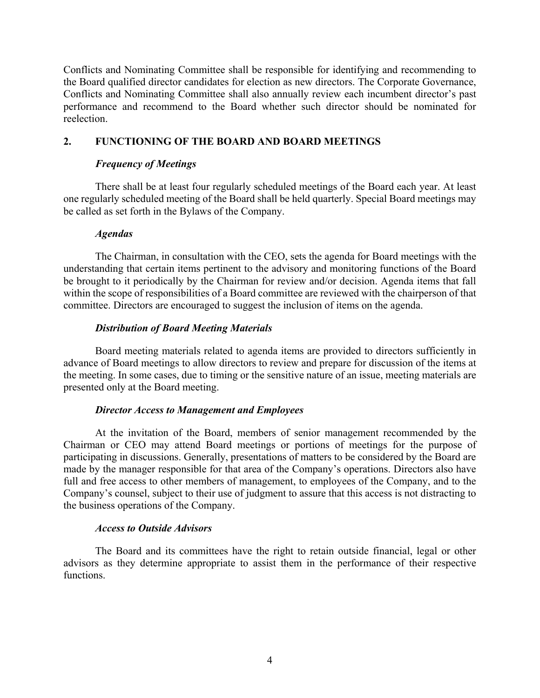Conflicts and Nominating Committee shall be responsible for identifying and recommending to the Board qualified director candidates for election as new directors. The Corporate Governance, Conflicts and Nominating Committee shall also annually review each incumbent director's past performance and recommend to the Board whether such director should be nominated for reelection.

# **2. FUNCTIONING OF THE BOARD AND BOARD MEETINGS**

# *Frequency of Meetings*

There shall be at least four regularly scheduled meetings of the Board each year. At least one regularly scheduled meeting of the Board shall be held quarterly. Special Board meetings may be called as set forth in the Bylaws of the Company.

## *Agendas*

The Chairman, in consultation with the CEO, sets the agenda for Board meetings with the understanding that certain items pertinent to the advisory and monitoring functions of the Board be brought to it periodically by the Chairman for review and/or decision. Agenda items that fall within the scope of responsibilities of a Board committee are reviewed with the chairperson of that committee. Directors are encouraged to suggest the inclusion of items on the agenda.

# *Distribution of Board Meeting Materials*

Board meeting materials related to agenda items are provided to directors sufficiently in advance of Board meetings to allow directors to review and prepare for discussion of the items at the meeting. In some cases, due to timing or the sensitive nature of an issue, meeting materials are presented only at the Board meeting.

### *Director Access to Management and Employees*

At the invitation of the Board, members of senior management recommended by the Chairman or CEO may attend Board meetings or portions of meetings for the purpose of participating in discussions. Generally, presentations of matters to be considered by the Board are made by the manager responsible for that area of the Company's operations. Directors also have full and free access to other members of management, to employees of the Company, and to the Company's counsel, subject to their use of judgment to assure that this access is not distracting to the business operations of the Company.

### *Access to Outside Advisors*

The Board and its committees have the right to retain outside financial, legal or other advisors as they determine appropriate to assist them in the performance of their respective functions.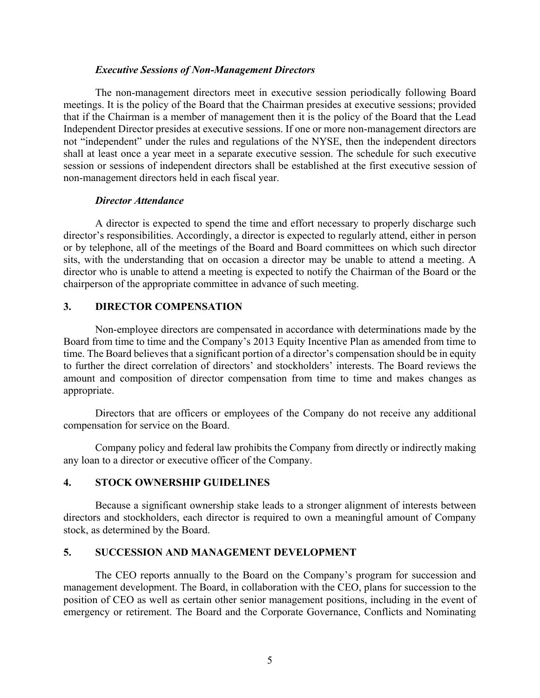### *Executive Sessions of Non-Management Directors*

The non-management directors meet in executive session periodically following Board meetings. It is the policy of the Board that the Chairman presides at executive sessions; provided that if the Chairman is a member of management then it is the policy of the Board that the Lead Independent Director presides at executive sessions. If one or more non-management directors are not "independent" under the rules and regulations of the NYSE, then the independent directors shall at least once a year meet in a separate executive session. The schedule for such executive session or sessions of independent directors shall be established at the first executive session of non-management directors held in each fiscal year.

# *Director Attendance*

A director is expected to spend the time and effort necessary to properly discharge such director's responsibilities. Accordingly, a director is expected to regularly attend, either in person or by telephone, all of the meetings of the Board and Board committees on which such director sits, with the understanding that on occasion a director may be unable to attend a meeting. A director who is unable to attend a meeting is expected to notify the Chairman of the Board or the chairperson of the appropriate committee in advance of such meeting.

# **3. DIRECTOR COMPENSATION**

Non-employee directors are compensated in accordance with determinations made by the Board from time to time and the Company's 2013 Equity Incentive Plan as amended from time to time. The Board believes that a significant portion of a director's compensation should be in equity to further the direct correlation of directors' and stockholders' interests. The Board reviews the amount and composition of director compensation from time to time and makes changes as appropriate.

Directors that are officers or employees of the Company do not receive any additional compensation for service on the Board.

Company policy and federal law prohibits the Company from directly or indirectly making any loan to a director or executive officer of the Company.

# **4. STOCK OWNERSHIP GUIDELINES**

Because a significant ownership stake leads to a stronger alignment of interests between directors and stockholders, each director is required to own a meaningful amount of Company stock, as determined by the Board.

# **5. SUCCESSION AND MANAGEMENT DEVELOPMENT**

The CEO reports annually to the Board on the Company's program for succession and management development. The Board, in collaboration with the CEO, plans for succession to the position of CEO as well as certain other senior management positions, including in the event of emergency or retirement. The Board and the Corporate Governance, Conflicts and Nominating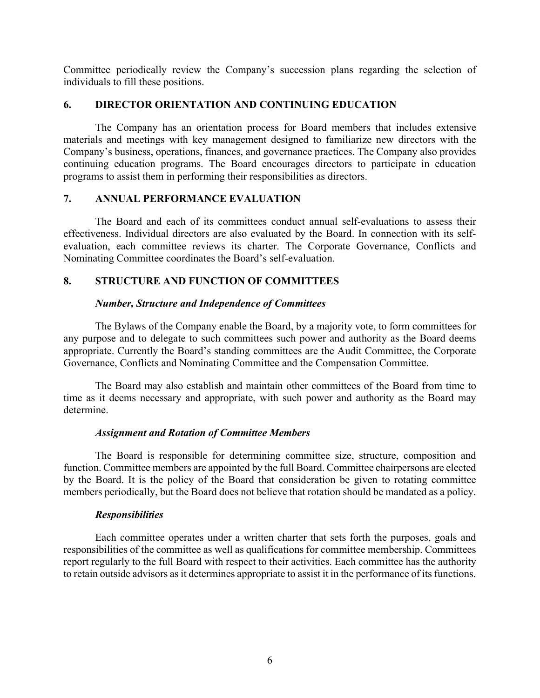Committee periodically review the Company's succession plans regarding the selection of individuals to fill these positions.

# **6. DIRECTOR ORIENTATION AND CONTINUING EDUCATION**

The Company has an orientation process for Board members that includes extensive materials and meetings with key management designed to familiarize new directors with the Company's business, operations, finances, and governance practices. The Company also provides continuing education programs. The Board encourages directors to participate in education programs to assist them in performing their responsibilities as directors.

# **7. ANNUAL PERFORMANCE EVALUATION**

The Board and each of its committees conduct annual self-evaluations to assess their effectiveness. Individual directors are also evaluated by the Board. In connection with its selfevaluation, each committee reviews its charter. The Corporate Governance, Conflicts and Nominating Committee coordinates the Board's self-evaluation.

# **8. STRUCTURE AND FUNCTION OF COMMITTEES**

# *Number, Structure and Independence of Committees*

The Bylaws of the Company enable the Board, by a majority vote, to form committees for any purpose and to delegate to such committees such power and authority as the Board deems appropriate. Currently the Board's standing committees are the Audit Committee, the Corporate Governance, Conflicts and Nominating Committee and the Compensation Committee.

The Board may also establish and maintain other committees of the Board from time to time as it deems necessary and appropriate, with such power and authority as the Board may determine.

# *Assignment and Rotation of Committee Members*

The Board is responsible for determining committee size, structure, composition and function. Committee members are appointed by the full Board. Committee chairpersons are elected by the Board. It is the policy of the Board that consideration be given to rotating committee members periodically, but the Board does not believe that rotation should be mandated as a policy.

# *Responsibilities*

Each committee operates under a written charter that sets forth the purposes, goals and responsibilities of the committee as well as qualifications for committee membership. Committees report regularly to the full Board with respect to their activities. Each committee has the authority to retain outside advisors as it determines appropriate to assist it in the performance of its functions.